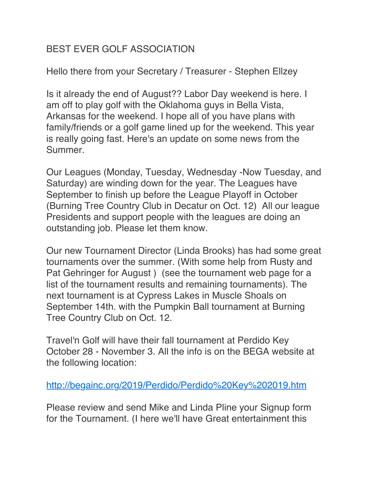## BEST EVER GOLF ASSOCIATION

Hello there from your Secretary / Treasurer - Stephen Ellzey

Is it already the end of August?? Labor Day weekend is here. I am off to play golf with the Oklahoma guys in Bella Vista, Arkansas for the weekend. I hope all of you have plans with family/friends or a golf game lined up for the weekend. This year is really going fast. Here's an update on some news from the Summer.

Our Leagues (Monday, Tuesday, Wednesday -Now Tuesday, and Saturday) are winding down for the year. The Leagues have September to finish up before the League Playoff in October (Burning Tree Country Club in Decatur on Oct. 12) All our league Presidents and support people with the leagues are doing an outstanding job. Please let them know.

Our new Tournament Director (Linda Brooks) has had some great tournaments over the summer. (With some help from Rusty and Pat Gehringer for August ) (see the tournament web page for a list of the tournament results and remaining tournaments). The next tournament is at Cypress Lakes in Muscle Shoals on September 14th. with the Pumpkin Ball tournament at Burning Tree Country Club on Oct. 12.

Travel'n Golf will have their fall tournament at Perdido Key October 28 - November 3. All the info is on the BEGA website at the following location:

<http://begainc.org/2019/Perdido/Perdido%20Key%202019.htm>

Please review and send Mike and Linda Pline your Signup form for the Tournament. (I here we'll have Great entertainment this